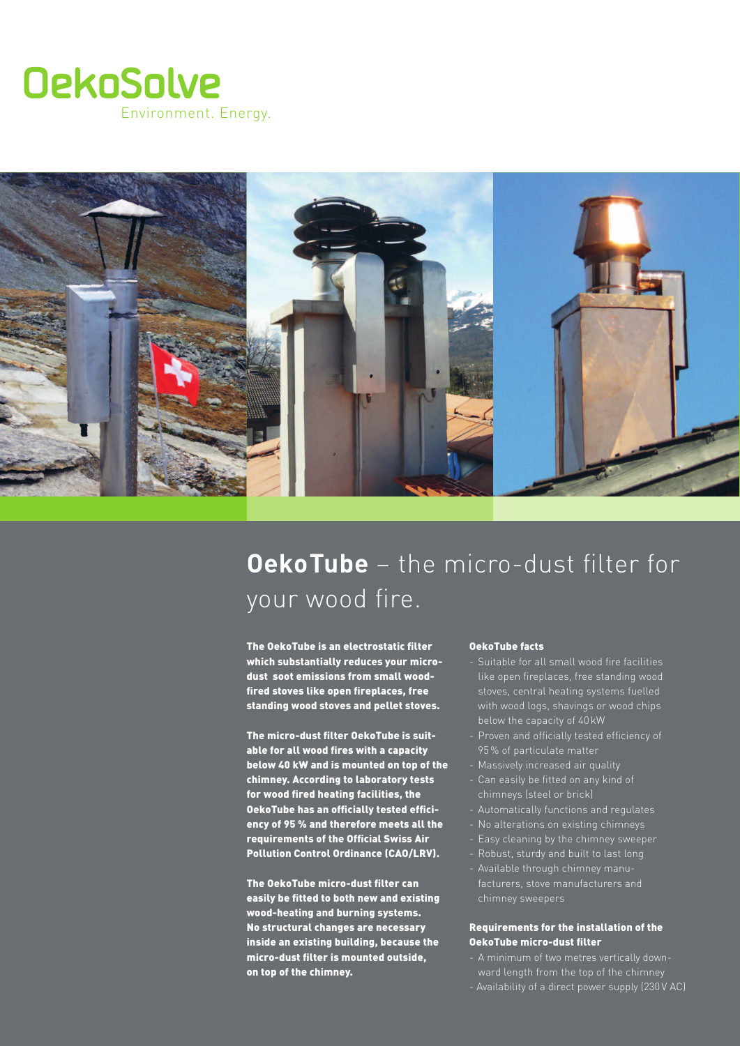



# **OekoTube** – the micro-dust filter for your wood fire.

The OekoTube is an electrostatic filter which substantially reduces your microdust soot emissions from small woodfired stoves like open fireplaces, free standing wood stoves and pellet stoves.

The micro-dust filter OekoTube is suitable for all wood fires with a capacity below 40 kW and is mounted on top of the chimney. According to laboratory tests for wood fired heating facilities, the OekoTube has an officially tested efficiency of 95 % and therefore meets all the requirements of the Official Swiss Air Pollution Control Ordinance (CAO/LRV).

The OekoTube micro-dust filter can easily be fitted to both new and existing wood-heating and burning systems. No structural changes are necessary inside an existing building, because the micro-dust filter is mounted outside, on top of the chimney.

## - Auf der Mündung von Stahl- und Mauerwerkkaminen OekoTube facts

- --<br>**cro-** Suitable for all small wood fire facilities of the contraction and the contract the contract of the standing wood e and the state in Betrieberg in Betrieberg in Betrieberg.<br> **e** extensions in Betrieberg systems fuelled with wood logs, shavings or wood chips below the capacity of 40 kW
	- Proven and officially tested efficiency of 95 % of particulate matter
	-
	- chimneys (steel or brick)
	- Automatically functions and regulates
	-
	- Easy cleaning by the chimney sweeper
	- Robust, sturdy and built to last long
	- Available through chimney manuchimney sweepers

#### Requirements for the installation of the OekoTube micro-dust filter

- 
- Availability of a direct power supply (230 V AC)